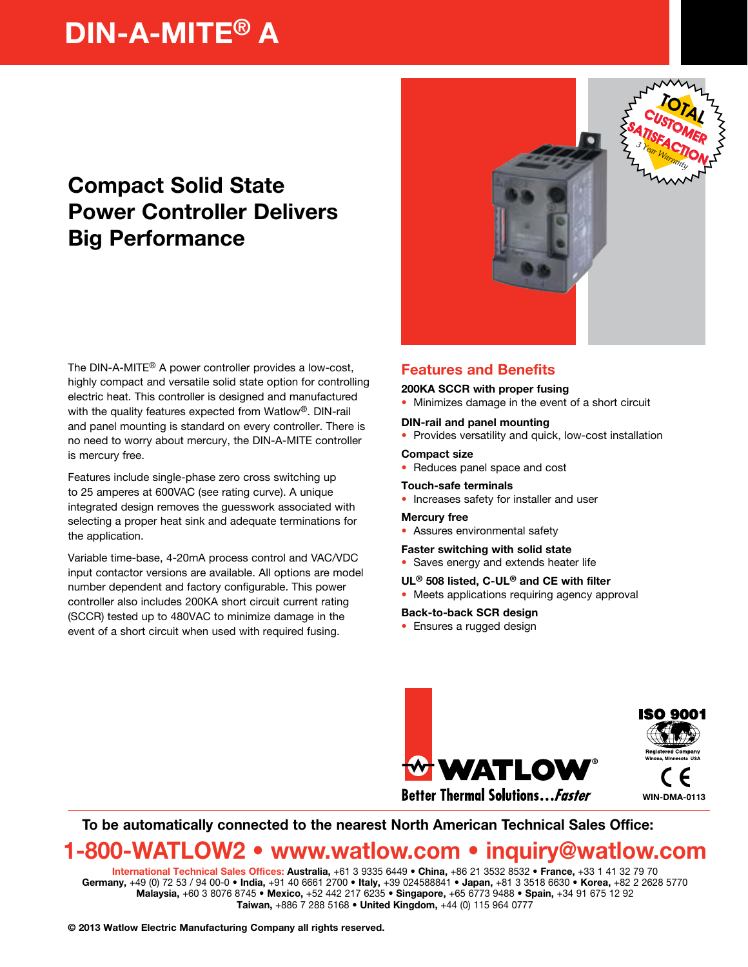# DIN-A-MITE® A

## Compact Solid State Power Controller Delivers Big Performance

The DIN-A-MITE® A power controller provides a low-cost, highly compact and versatile solid state option for controlling electric heat. This controller is designed and manufactured with the quality features expected from Watlow®. DIN-rail and panel mounting is standard on every controller. There is no need to worry about mercury, the DIN-A-MITE controller is mercury free.

Features include single-phase zero cross switching up to 25 amperes at 600VAC (see rating curve). A unique integrated design removes the guesswork associated with selecting a proper heat sink and adequate terminations for the application.

Variable time-base, 4-20mA process control and VAC/VDC input contactor versions are available. All options are model number dependent and factory configurable. This power controller also includes 200KA short circuit current rating (SCCR) tested up to 480VAC to minimize damage in the event of a short circuit when used with required fusing.



## Features and Benefits

#### 200KA SCCR with proper fusing

• Minimizes damage in the event of a short circuit

#### DIN-rail and panel mounting

• Provides versatility and quick, low-cost installation

#### Compact size

• Reduces panel space and cost

## Touch-safe terminals

• Increases safety for installer and user

#### Mercury free

• Assures environmental safety

#### Faster switching with solid state

• Saves energy and extends heater life

#### UL® 508 listed, C-UL® and CE with filter

• Meets applications requiring agency approval

#### Back-to-back SCR design

• Ensures a rugged design



### To be automatically connected to the nearest North American Technical Sales Office:

## 1-800-WATLOW2 • www.watlow.com • inquiry@watlow.com

International Technical Sales Offices: Australia, +61 3 9335 6449 • China, +86 21 3532 8532 • France, +33 1 41 32 79 70 Germany, +49 (0) 72 53 / 94 00-0 · India, +91 40 6661 2700 · Italy, +39 024588841 · Japan, +81 3 3518 6630 · Korea, +82 2 2628 5770 Malaysia, +60 3 8076 8745 • Mexico, +52 442 217 6235 • Singapore, +65 6773 9488 • Spain, +34 91 675 12 92 Taiwan, +886 7 288 5168 • United Kingdom, +44 (0) 115 964 0777